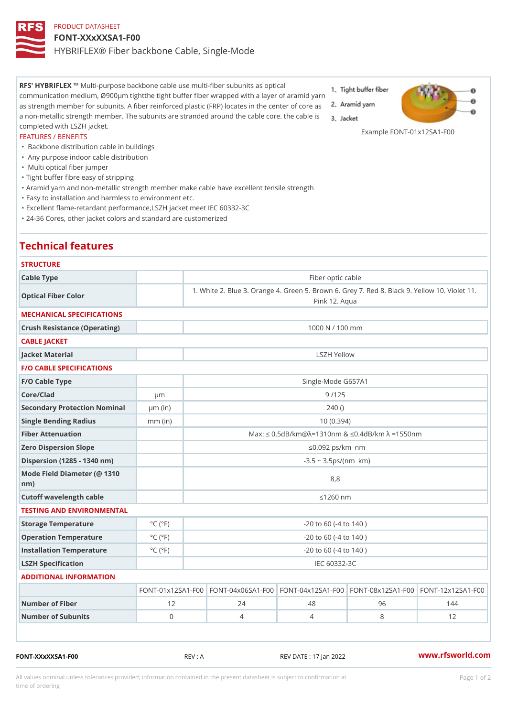## PRODUCT DATASHEET FONT-XXxXXSA1-F00 HYBRIFLEX® Fiber backbone Cable, Single-Mode

RFS' HYBRIFMEX i-purpose backbone cable use multi-fiber subunits as optical communication medium, Ø900µm tightthe tight buffer fiber wrapped with a layer of aramid yarn as strength member for subunits. A fiber reinforced plastic (FRP) locates in the center of core as a non-metallic strength member. The subunits are stranded around the cable core. the cable is completed with LSZH jacket.

#### Example FONT-01x12SA1-F00

#### FEATURES / BENEFITS

- " Backbone distribution cable in buildings
- " Any purpose indoor cable distribution
- " Multi optical fiber jumper

Technical features

- "Tight buffer fibre easy of stripping
- "Aramid yarn and non-metallic strength member make cable have excellent tensile strength
- "Easy to installation and harmless to environment etc.
- "Excellent flame-retardant performance,LSZH jacket meet IEC 60332-3C
- "24-36 Cores, other jacket colors and standard are customerized

# **STRUCTURE** Cable Type **Fiber optic cable** Fiber optic cable Optical Fiber Color 1. White 2. Blue 3. Orange 4. Green 5. Brown 6. Grey 7. Red 8. Pink 12. Aqua MECHANICAL SPECIFICATIONS Crush Resistance (Operating) 2000 N / 100 mm CABLE JACKET Jacket Material LSZH Yellow F/O CABLE SPECIFICATIONS F/O Cable Type Single-Mode G657A1 Core/Clad µm 9 /125 Secondary Protection Nominal  $(\text{in})$  240 () Single Bending Radius mm (in) 10 (0.394) Fiber Attenuation Max: "d 0.5dB/km@»=1310nm & "d0.4dB/km » =1550nm Zero Dispersion Slope "d0.092 ps/km§•nm  $Dispersion (1285 - 1340 nm)$  -3.5 ~ 3.5ps/(nm§•km) Mode Field Diameter (@ 1310 nm) 8,8 Cutoff wavelength cable "d1260 nm TESTING AND ENVIRONMENTAL Storage Temperature  $\begin{array}{c} \circ \text{C} \\ \circ \text{C} \end{array}$  (°F) -20 to 60 (-4 to 140 ) Operation Temperature °C (°F) -20 to 60 (-4 to 140 ) Installation Temperature  $°C$  ( $°C$ )  $\left\{ \begin{array}{ll} \circ & \circ & \circ \\ \circ & \circ & \circ \end{array} \right\}$  -20 to 60 (-4 to 140 ) LSZH Specification **IEC 60332-3C** ADDITIONAL INFORMATION  $FONT-01x12S$  AFT OF NOTO-04 x 0 6 S A FIGHN TO-04 x 1 2 S A FIGHN TO-08 x 1 2 S A FIGHN TO-12x 1 2 S A 1 - F Number of Fiber 12 12 124 48 96 144 Number of Subunits 0 4 4 8 12

FONT-XXxXXSA1-F00 REV : A REV DATE : 17 Jan 2022 [www.](https://www.rfsworld.com)rfsworld.com

All values nominal unless tolerances provided; information contained in the present datasheet is subject to Pcapgeign manation time of ordering